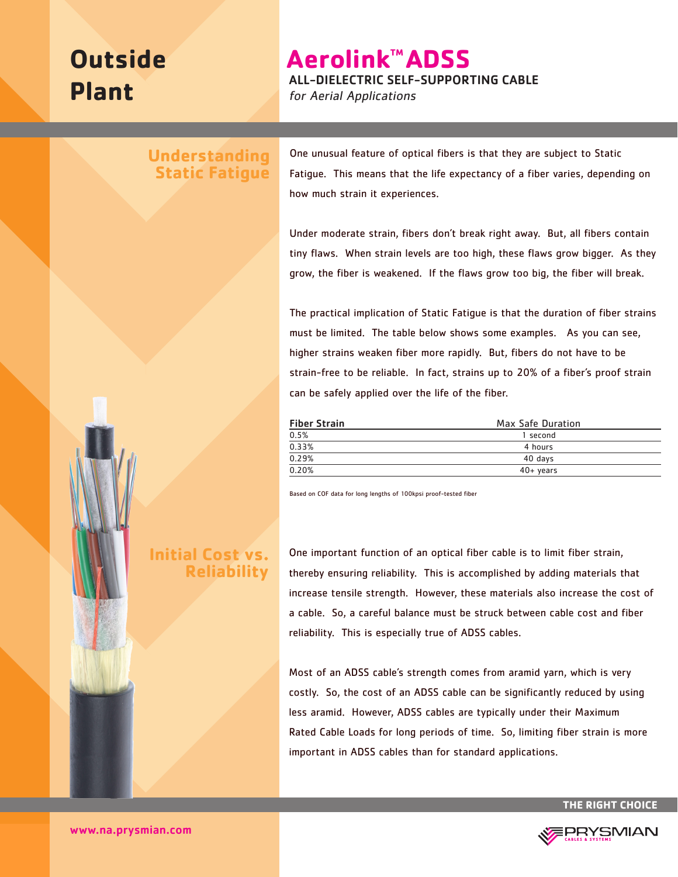# **Outside Plant**

**Aerolink™ADSS** 

ALL-DIELECTRIC SELF-SUPPORTING CABLE

for Aerial Applications

## **Understanding Static Fatigue**

One unusual feature of optical fibers is that they are subject to Static Fatigue. This means that the life expectancy of a fiber varies, depending on how much strain it experiences.

Under moderate strain, fibers don't break right away. But, all fibers contain tiny flaws. When strain levels are too high, these flaws grow bigger. As they grow, the fiber is weakened. If the flaws grow too big, the fiber will break.

The practical implication of Static Fatigue is that the duration of fiber strains must be limited. The table below shows some examples. As you can see, higher strains weaken fiber more rapidly. But, fibers do not have to be strain-free to be reliable. In fact, strains up to 20% of a fiber's proof strain can be safely applied over the life of the fiber.

| <b>Fiber Strain</b> | Max Safe Duration<br>1 second |  |
|---------------------|-------------------------------|--|
| 0.5%                |                               |  |
| 0.33%               | 4 hours                       |  |
| 0.29%               | 40 days                       |  |
| 0.20%               | $40+$ years                   |  |

Based on COF data for long lengths of 100kpsi proof-tested fiber

One important function of an optical fiber cable is to limit fiber strain, thereby ensuring reliability. This is accomplished by adding materials that increase tensile strength. However, these materials also increase the cost of a cable. So, a careful balance must be struck between cable cost and fiber reliability. This is especially true of ADSS cables.

Most of an ADSS cable's strength comes from aramid yarn, which is very costly. So, the cost of an ADSS cable can be significantly reduced by using less aramid. However, ADSS cables are typically under their Maximum Rated Cable Loads for long periods of time. So, limiting fiber strain is more important in ADSS cables than for standard applications.

**THE RIGHT CHOICE**